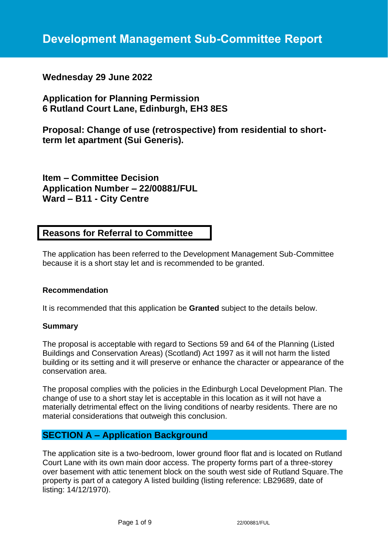## **Wednesday 29 June 2022**

## **Application for Planning Permission 6 Rutland Court Lane, Edinburgh, EH3 8ES**

**Proposal: Change of use (retrospective) from residential to shortterm let apartment (Sui Generis).**

**Item – Committee Decision Application Number – 22/00881/FUL Ward – B11 - City Centre**

## **Reasons for Referral to Committee**

The application has been referred to the Development Management Sub-Committee because it is a short stay let and is recommended to be granted.

### **Recommendation**

It is recommended that this application be **Granted** subject to the details below.

#### **Summary**

The proposal is acceptable with regard to Sections 59 and 64 of the Planning (Listed Buildings and Conservation Areas) (Scotland) Act 1997 as it will not harm the listed building or its setting and it will preserve or enhance the character or appearance of the conservation area.

The proposal complies with the policies in the Edinburgh Local Development Plan. The change of use to a short stay let is acceptable in this location as it will not have a materially detrimental effect on the living conditions of nearby residents. There are no material considerations that outweigh this conclusion.

## **SECTION A – Application Background**

The application site is a two-bedroom, lower ground floor flat and is located on Rutland Court Lane with its own main door access. The property forms part of a three-storey over basement with attic tenement block on the south west side of Rutland Square.The property is part of a category A listed building (listing reference: LB29689, date of listing: 14/12/1970).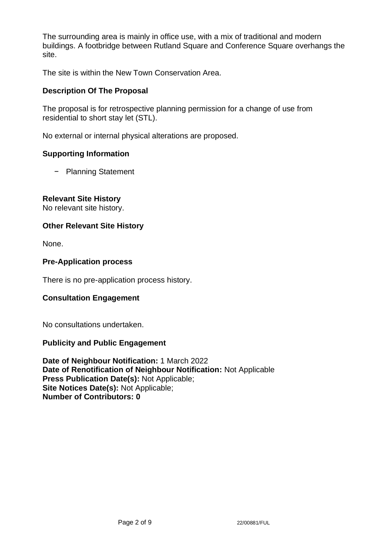The surrounding area is mainly in office use, with a mix of traditional and modern buildings. A footbridge between Rutland Square and Conference Square overhangs the site.

The site is within the New Town Conservation Area.

## **Description Of The Proposal**

The proposal is for retrospective planning permission for a change of use from residential to short stay let (STL).

No external or internal physical alterations are proposed.

## **Supporting Information**

− Planning Statement

## **Relevant Site History**

No relevant site history.

### **Other Relevant Site History**

None.

### **Pre-Application process**

There is no pre-application process history.

## **Consultation Engagement**

No consultations undertaken.

### **Publicity and Public Engagement**

**Date of Neighbour Notification:** 1 March 2022 **Date of Renotification of Neighbour Notification:** Not Applicable **Press Publication Date(s):** Not Applicable; **Site Notices Date(s):** Not Applicable; **Number of Contributors: 0**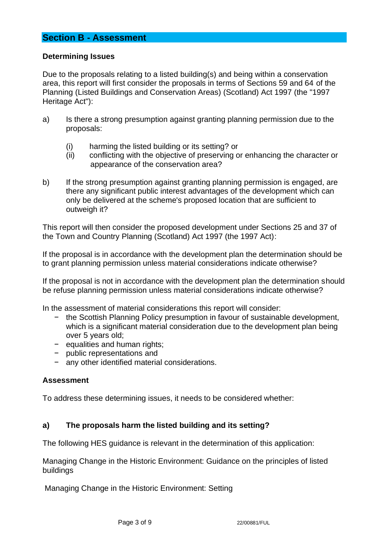## **Section B - Assessment**

### **Determining Issues**

Due to the proposals relating to a listed building(s) and being within a conservation area, this report will first consider the proposals in terms of Sections 59 and 64 of the Planning (Listed Buildings and Conservation Areas) (Scotland) Act 1997 (the "1997 Heritage Act"):

- a) Is there a strong presumption against granting planning permission due to the proposals:
	- (i) harming the listed building or its setting? or
	- (ii) conflicting with the objective of preserving or enhancing the character or appearance of the conservation area?
- b) If the strong presumption against granting planning permission is engaged, are there any significant public interest advantages of the development which can only be delivered at the scheme's proposed location that are sufficient to outweigh it?

This report will then consider the proposed development under Sections 25 and 37 of the Town and Country Planning (Scotland) Act 1997 (the 1997 Act):

If the proposal is in accordance with the development plan the determination should be to grant planning permission unless material considerations indicate otherwise?

If the proposal is not in accordance with the development plan the determination should be refuse planning permission unless material considerations indicate otherwise?

In the assessment of material considerations this report will consider:

- − the Scottish Planning Policy presumption in favour of sustainable development, which is a significant material consideration due to the development plan being over 5 years old;
- − equalities and human rights;
- − public representations and
- any other identified material considerations.

### **Assessment**

To address these determining issues, it needs to be considered whether:

### **a) The proposals harm the listed building and its setting?**

The following HES guidance is relevant in the determination of this application:

Managing Change in the Historic Environment: Guidance on the principles of listed buildings

Managing Change in the Historic Environment: Setting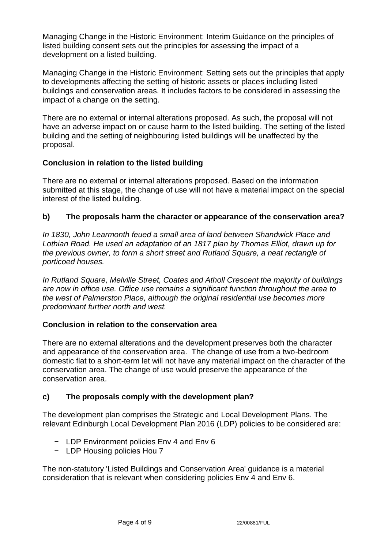Managing Change in the Historic Environment: Interim Guidance on the principles of listed building consent sets out the principles for assessing the impact of a development on a listed building.

Managing Change in the Historic Environment: Setting sets out the principles that apply to developments affecting the setting of historic assets or places including listed buildings and conservation areas. It includes factors to be considered in assessing the impact of a change on the setting.

There are no external or internal alterations proposed. As such, the proposal will not have an adverse impact on or cause harm to the listed building. The setting of the listed building and the setting of neighbouring listed buildings will be unaffected by the proposal.

## **Conclusion in relation to the listed building**

There are no external or internal alterations proposed. Based on the information submitted at this stage, the change of use will not have a material impact on the special interest of the listed building.

## **b) The proposals harm the character or appearance of the conservation area?**

*In 1830, John Learmonth feued a small area of land between Shandwick Place and Lothian Road. He used an adaptation of an 1817 plan by Thomas Elliot, drawn up for the previous owner, to form a short street and Rutland Square, a neat rectangle of porticoed houses.*

*In Rutland Square, Melville Street, Coates and Atholl Crescent the majority of buildings are now in office use. Office use remains a significant function throughout the area to the west of Palmerston Place, although the original residential use becomes more predominant further north and west.*

### **Conclusion in relation to the conservation area**

There are no external alterations and the development preserves both the character and appearance of the conservation area. The change of use from a two-bedroom domestic flat to a short-term let will not have any material impact on the character of the conservation area. The change of use would preserve the appearance of the conservation area.

## **c) The proposals comply with the development plan?**

The development plan comprises the Strategic and Local Development Plans. The relevant Edinburgh Local Development Plan 2016 (LDP) policies to be considered are:

- − LDP Environment policies Env 4 and Env 6
- − LDP Housing policies Hou 7

The non-statutory 'Listed Buildings and Conservation Area' guidance is a material consideration that is relevant when considering policies Env 4 and Env 6.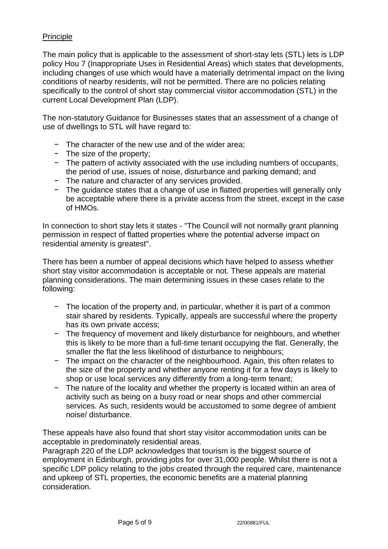## Principle

The main policy that is applicable to the assessment of short-stay lets (STL) lets is LDP policy Hou 7 (Inappropriate Uses in Residential Areas) which states that developments, including changes of use which would have a materially detrimental impact on the living conditions of nearby residents, will not be permitted. There are no policies relating specifically to the control of short stay commercial visitor accommodation (STL) in the current Local Development Plan (LDP).

The non-statutory Guidance for Businesses states that an assessment of a change of use of dwellings to STL will have regard to:

- − The character of the new use and of the wider area;
- − The size of the property;
- − The pattern of activity associated with the use including numbers of occupants, the period of use, issues of noise, disturbance and parking demand; and
- − The nature and character of any services provided.
- − The guidance states that a change of use in flatted properties will generally only be acceptable where there is a private access from the street, except in the case of HMOs.

In connection to short stay lets it states - "The Council will not normally grant planning permission in respect of flatted properties where the potential adverse impact on residential amenity is greatest".

There has been a number of appeal decisions which have helped to assess whether short stay visitor accommodation is acceptable or not. These appeals are material planning considerations. The main determining issues in these cases relate to the following:

- − The location of the property and, in particular, whether it is part of a common stair shared by residents. Typically, appeals are successful where the property has its own private access;
- − The frequency of movement and likely disturbance for neighbours, and whether this is likely to be more than a full-time tenant occupying the flat. Generally, the smaller the flat the less likelihood of disturbance to neighbours;
- − The impact on the character of the neighbourhood. Again, this often relates to the size of the property and whether anyone renting it for a few days is likely to shop or use local services any differently from a long-term tenant;
- The nature of the locality and whether the property is located within an area of activity such as being on a busy road or near shops and other commercial services. As such, residents would be accustomed to some degree of ambient noise/ disturbance.

These appeals have also found that short stay visitor accommodation units can be acceptable in predominately residential areas.

Paragraph 220 of the LDP acknowledges that tourism is the biggest source of employment in Edinburgh, providing jobs for over 31,000 people. Whilst there is not a specific LDP policy relating to the jobs created through the required care, maintenance and upkeep of STL properties, the economic benefits are a material planning consideration.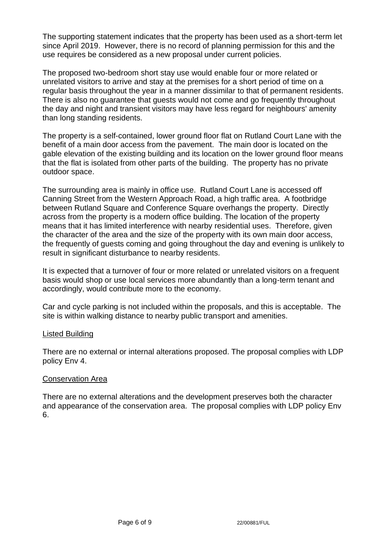The supporting statement indicates that the property has been used as a short-term let since April 2019. However, there is no record of planning permission for this and the use requires be considered as a new proposal under current policies.

The proposed two-bedroom short stay use would enable four or more related or unrelated visitors to arrive and stay at the premises for a short period of time on a regular basis throughout the year in a manner dissimilar to that of permanent residents. There is also no guarantee that guests would not come and go frequently throughout the day and night and transient visitors may have less regard for neighbours' amenity than long standing residents.

The property is a self-contained, lower ground floor flat on Rutland Court Lane with the benefit of a main door access from the pavement. The main door is located on the gable elevation of the existing building and its location on the lower ground floor means that the flat is isolated from other parts of the building. The property has no private outdoor space.

The surrounding area is mainly in office use. Rutland Court Lane is accessed off Canning Street from the Western Approach Road, a high traffic area. A footbridge between Rutland Square and Conference Square overhangs the property. Directly across from the property is a modern office building. The location of the property means that it has limited interference with nearby residential uses. Therefore, given the character of the area and the size of the property with its own main door access, the frequently of guests coming and going throughout the day and evening is unlikely to result in significant disturbance to nearby residents.

It is expected that a turnover of four or more related or unrelated visitors on a frequent basis would shop or use local services more abundantly than a long-term tenant and accordingly, would contribute more to the economy.

Car and cycle parking is not included within the proposals, and this is acceptable. The site is within walking distance to nearby public transport and amenities.

### Listed Building

There are no external or internal alterations proposed. The proposal complies with LDP policy Env 4.

### Conservation Area

There are no external alterations and the development preserves both the character and appearance of the conservation area. The proposal complies with LDP policy Env 6.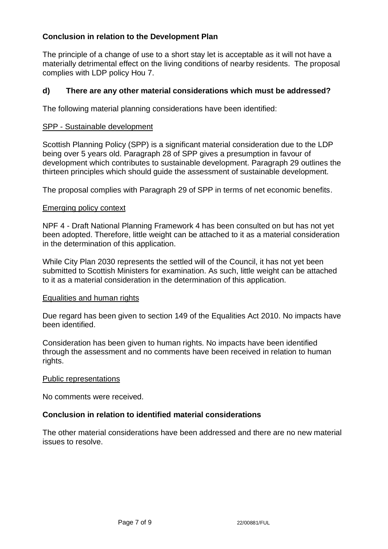## **Conclusion in relation to the Development Plan**

The principle of a change of use to a short stay let is acceptable as it will not have a materially detrimental effect on the living conditions of nearby residents. The proposal complies with LDP policy Hou 7.

### **d) There are any other material considerations which must be addressed?**

The following material planning considerations have been identified:

#### SPP - Sustainable development

Scottish Planning Policy (SPP) is a significant material consideration due to the LDP being over 5 years old. Paragraph 28 of SPP gives a presumption in favour of development which contributes to sustainable development. Paragraph 29 outlines the thirteen principles which should guide the assessment of sustainable development.

The proposal complies with Paragraph 29 of SPP in terms of net economic benefits.

#### Emerging policy context

NPF 4 - Draft National Planning Framework 4 has been consulted on but has not yet been adopted. Therefore, little weight can be attached to it as a material consideration in the determination of this application.

While City Plan 2030 represents the settled will of the Council, it has not yet been submitted to Scottish Ministers for examination. As such, little weight can be attached to it as a material consideration in the determination of this application.

#### Equalities and human rights

Due regard has been given to section 149 of the Equalities Act 2010. No impacts have been identified.

Consideration has been given to human rights. No impacts have been identified through the assessment and no comments have been received in relation to human rights.

#### Public representations

No comments were received.

#### **Conclusion in relation to identified material considerations**

The other material considerations have been addressed and there are no new material issues to resolve.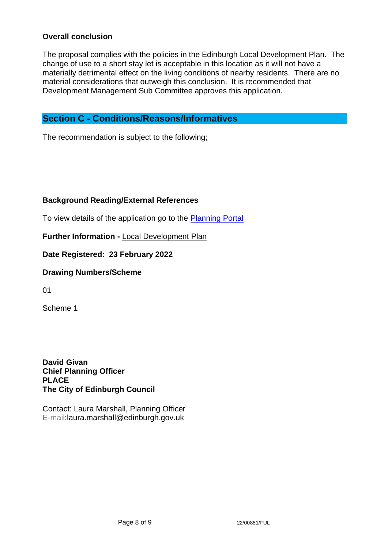## **Overall conclusion**

The proposal complies with the policies in the Edinburgh Local Development Plan. The change of use to a short stay let is acceptable in this location as it will not have a materially detrimental effect on the living conditions of nearby residents. There are no material considerations that outweigh this conclusion. It is recommended that Development Management Sub Committee approves this application.

## **Section C - Conditions/Reasons/Informatives**

The recommendation is subject to the following;

## **Background Reading/External References**

To view details of the application go to the [Planning Portal](https://citydev-portal.edinburgh.gov.uk/idoxpa-web/applicationDetails.do?activeTab=summary&keyVal=R7RHO5EWJ3N00)

**Further Information -** [Local Development Plan](https://www.edinburgh.gov.uk/local-development-plan-guidance-1/edinburgh-local-development-plan/1)

**Date Registered: 23 February 2022**

### **Drawing Numbers/Scheme**

01

Scheme 1

**David Givan Chief Planning Officer PLACE The City of Edinburgh Council**

Contact: Laura Marshall, Planning Officer E-mail:laura.marshall@edinburgh.gov.uk